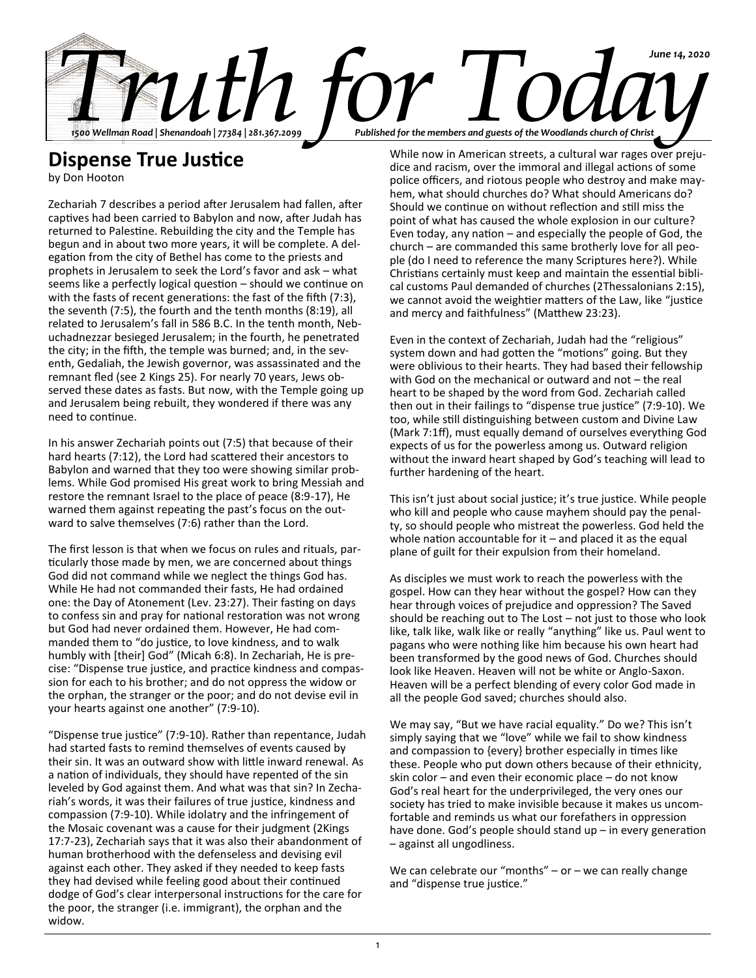

## **Dispense True Justice**

by Don Hooton

Zechariah 7 describes a period after Jerusalem had fallen, after captives had been carried to Babylon and now, after Judah has returned to Palestine. Rebuilding the city and the Temple has begun and in about two more years, it will be complete. A delegation from the city of Bethel has come to the priests and prophets in Jerusalem to seek the Lord's favor and ask – what seems like a perfectly logical question – should we continue on with the fasts of recent generations: the fast of the fifth (7:3), the seventh (7:5), the fourth and the tenth months (8:19), all related to Jerusalem's fall in 586 B.C. In the tenth month, Nebuchadnezzar besieged Jerusalem; in the fourth, he penetrated the city; in the fifth, the temple was burned; and, in the seventh, Gedaliah, the Jewish governor, was assassinated and the remnant fled (see 2 Kings 25). For nearly 70 years, Jews observed these dates as fasts. But now, with the Temple going up and Jerusalem being rebuilt, they wondered if there was any need to continue.

In his answer Zechariah points out (7:5) that because of their hard hearts (7:12), the Lord had scattered their ancestors to Babylon and warned that they too were showing similar problems. While God promised His great work to bring Messiah and restore the remnant Israel to the place of peace (8:9-17), He warned them against repeating the past's focus on the outward to salve themselves (7:6) rather than the Lord.

The first lesson is that when we focus on rules and rituals, particularly those made by men, we are concerned about things God did not command while we neglect the things God has. While He had not commanded their fasts, He had ordained one: the Day of Atonement (Lev. 23:27). Their fasting on days to confess sin and pray for national restoration was not wrong but God had never ordained them. However, He had commanded them to "do justice, to love kindness, and to walk humbly with [their] God" (Micah 6:8). In Zechariah, He is precise: "Dispense true justice, and practice kindness and compassion for each to his brother; and do not oppress the widow or the orphan, the stranger or the poor; and do not devise evil in your hearts against one another" (7:9-10).

"Dispense true justice" (7:9-10). Rather than repentance, Judah had started fasts to remind themselves of events caused by their sin. It was an outward show with little inward renewal. As a nation of individuals, they should have repented of the sin leveled by God against them. And what was that sin? In Zechariah's words, it was their failures of true justice, kindness and compassion (7:9-10). While idolatry and the infringement of the Mosaic covenant was a cause for their judgment (2Kings 17:7-23), Zechariah says that it was also their abandonment of human brotherhood with the defenseless and devising evil against each other. They asked if they needed to keep fasts they had devised while feeling good about their continued dodge of God's clear interpersonal instructions for the care for the poor, the stranger (i.e. immigrant), the orphan and the widow.

While now in American streets, a cultural war rages over prejudice and racism, over the immoral and illegal actions of some police officers, and riotous people who destroy and make mayhem, what should churches do? What should Americans do? Should we continue on without reflection and still miss the point of what has caused the whole explosion in our culture? Even today, any nation – and especially the people of God, the church – are commanded this same brotherly love for all people (do I need to reference the many Scriptures here?). While Christians certainly must keep and maintain the essential biblical customs Paul demanded of churches (2Thessalonians 2:15), we cannot avoid the weightier matters of the Law, like "justice and mercy and faithfulness" (Matthew 23:23).

Even in the context of Zechariah, Judah had the "religious" system down and had gotten the "motions" going. But they were oblivious to their hearts. They had based their fellowship with God on the mechanical or outward and not – the real heart to be shaped by the word from God. Zechariah called then out in their failings to "dispense true justice" (7:9-10). We too, while still distinguishing between custom and Divine Law (Mark 7:1ff), must equally demand of ourselves everything God expects of us for the powerless among us. Outward religion without the inward heart shaped by God's teaching will lead to further hardening of the heart.

This isn't just about social justice; it's true justice. While people who kill and people who cause mayhem should pay the penalty, so should people who mistreat the powerless. God held the whole nation accountable for  $it$  – and placed it as the equal plane of guilt for their expulsion from their homeland.

As disciples we must work to reach the powerless with the gospel. How can they hear without the gospel? How can they hear through voices of prejudice and oppression? The Saved should be reaching out to The Lost – not just to those who look like, talk like, walk like or really "anything" like us. Paul went to pagans who were nothing like him because his own heart had been transformed by the good news of God. Churches should look like Heaven. Heaven will not be white or Anglo-Saxon. Heaven will be a perfect blending of every color God made in all the people God saved; churches should also.

We may say, "But we have racial equality." Do we? This isn't simply saying that we "love" while we fail to show kindness and compassion to {every} brother especially in times like these. People who put down others because of their ethnicity, skin color – and even their economic place – do not know God's real heart for the underprivileged, the very ones our society has tried to make invisible because it makes us uncomfortable and reminds us what our forefathers in oppression have done. God's people should stand up – in every generation – against all ungodliness.

We can celebrate our "months" – or – we can really change and "dispense true justice."